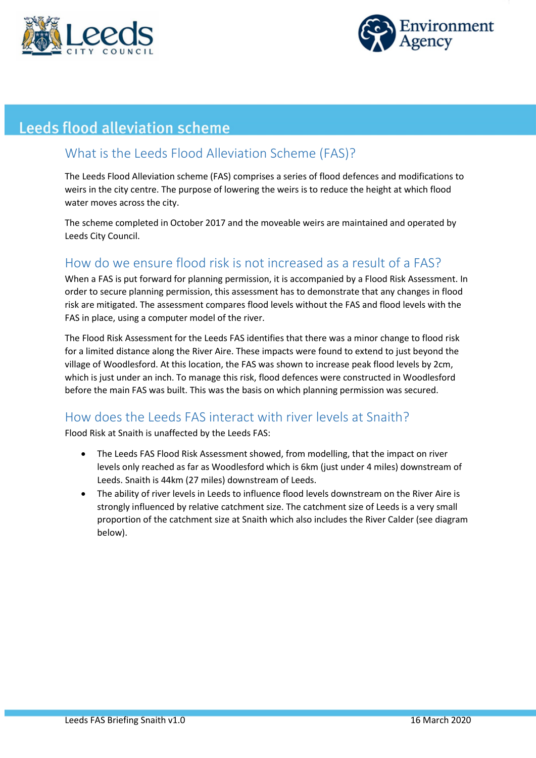



# **Leeds flood alleviation scheme**

### What is the Leeds Flood Alleviation Scheme (FAS)?

The Leeds Flood Alleviation scheme (FAS) comprises a series of flood defences and modifications to weirs in the city centre. The purpose of lowering the weirs is to reduce the height at which flood water moves across the city.

The scheme completed in October 2017 and the moveable weirs are maintained and operated by Leeds City Council.

### How do we ensure flood risk is not increased as a result of a FAS?

When a FAS is put forward for planning permission, it is accompanied by a Flood Risk Assessment. In order to secure planning permission, this assessment has to demonstrate that any changes in flood risk are mitigated. The assessment compares flood levels without the FAS and flood levels with the FAS in place, using a computer model of the river.

The Flood Risk Assessment for the Leeds FAS identifies that there was a minor change to flood risk for a limited distance along the River Aire. These impacts were found to extend to just beyond the village of Woodlesford. At this location, the FAS was shown to increase peak flood levels by 2cm, which is just under an inch. To manage this risk, flood defences were constructed in Woodlesford before the main FAS was built. This was the basis on which planning permission was secured.

#### How does the Leeds FAS interact with river levels at Snaith?

Flood Risk at Snaith is unaffected by the Leeds FAS:

- The Leeds FAS Flood Risk Assessment showed, from modelling, that the impact on river levels only reached as far as Woodlesford which is 6km (just under 4 miles) downstream of Leeds. Snaith is 44km (27 miles) downstream of Leeds.
- The ability of river levels in Leeds to influence flood levels downstream on the River Aire is strongly influenced by relative catchment size. The catchment size of Leeds is a very small proportion of the catchment size at Snaith which also includes the River Calder (see diagram below).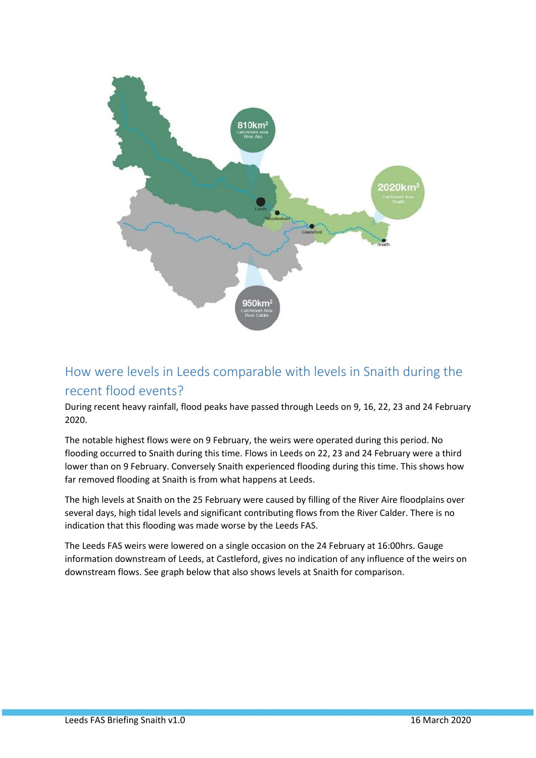

## How were levels in Leeds comparable with levels in Snaith during the recent flood events?

During recent heavy rainfall, flood peaks have passed through Leeds on 9, 16, 22, 23 and 24 February 2020.

The notable highest flows were on 9 February, the weirs were operated during this period. No flooding occurred to Snaith during this time. Flows in Leeds on 22, 23 and 24 February were a third lower than on 9 February. Conversely Snaith experienced flooding during this time. This shows how far removed flooding at Snaith is from what happens at Leeds.

The high levels at Snaith on the 25 February were caused by filling of the River Aire floodplains over several days, high tidal levels and significant contributing flows from the River Calder. There is no indication that this flooding was made worse by the Leeds FAS.

The Leeds FAS weirs were lowered on a single occasion on the 24 February at 16:00hrs. Gauge information downstream of Leeds, at Castleford, gives no indication of any influence of the weirs on downstream flows. See graph below that also shows levels at Snaith for comparison.